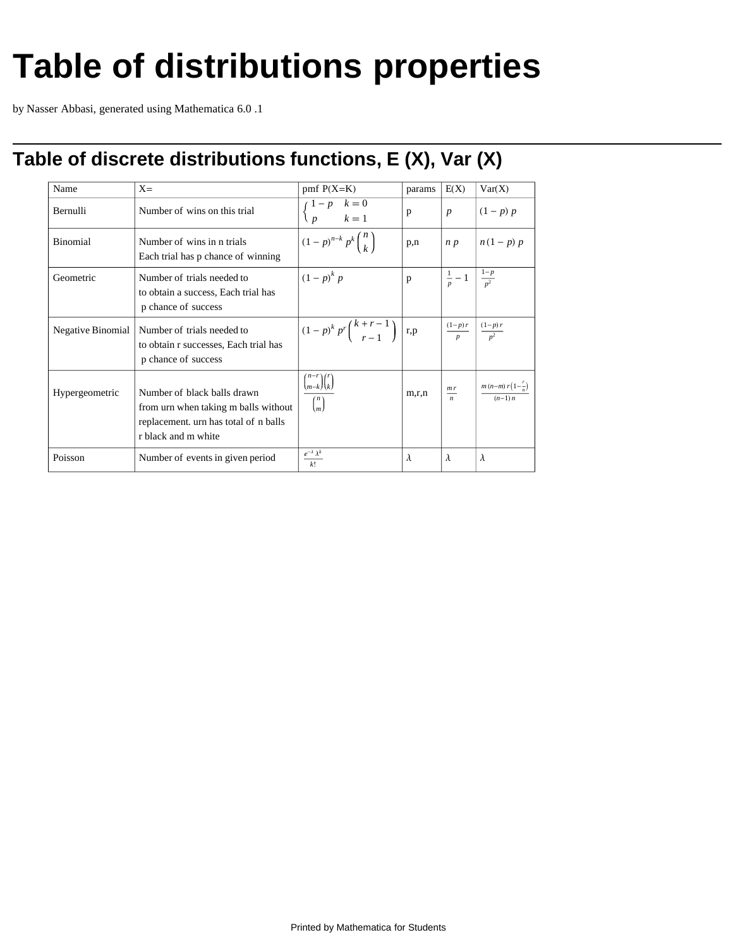# **Table of distributions properties**

by Nasser Abbasi, generated using Mathematica 6.0 .1

#### **Table of discrete distributions functions, E (X), Var (X)**

| Name              | $X =$                                                                                                                               | $pmf$ P(X=K)                                            | params       | E(X)                        | Var(X)                                |
|-------------------|-------------------------------------------------------------------------------------------------------------------------------------|---------------------------------------------------------|--------------|-----------------------------|---------------------------------------|
| Bernulli          | Number of wins on this trial                                                                                                        | $k = 0$<br>$k = 1$<br>$1-p$<br>$\boldsymbol{v}$         | $\mathbf{p}$ | $\boldsymbol{p}$            | $(1-p)p$                              |
| Binomial          | Number of wins in n trials<br>Each trial has p chance of winning                                                                    | $(1-p)^{n-k} p^k \binom{n}{k}$                          | p,n          | n p                         | $n(1-p)p$                             |
| Geometric         | Number of trials needed to<br>to obtain a success, Each trial has<br>p chance of success                                            | $(1-p)^k p$                                             | p            | $\frac{1}{p} - 1$           | $\frac{1-p}{p^2}$                     |
| Negative Binomial | Number of trials needed to<br>to obtain r successes, Each trial has<br>p chance of success                                          | $ (1-p)^k p^r \binom{k+r-1}{r-1}  _{r,p}$               |              | $\frac{(1-p)r}{p}$          | $(1-p)r$                              |
| Hypergeometric    | Number of black balls drawn<br>from urn when taking m balls without<br>replacement. urn has total of n balls<br>r black and m white | $n-r \setminus r$<br>$\binom{m-k}{k}$<br>$\binom{n}{m}$ | m.r.n        | mr<br>÷<br>$\boldsymbol{n}$ | $m(n-m) r(1-\frac{r}{n})$<br>$(n-1)n$ |
| Poisson           | Number of events in given period                                                                                                    | $e^{-\lambda} \lambda^k$<br>k!                          | λ            | $\lambda$                   | λ                                     |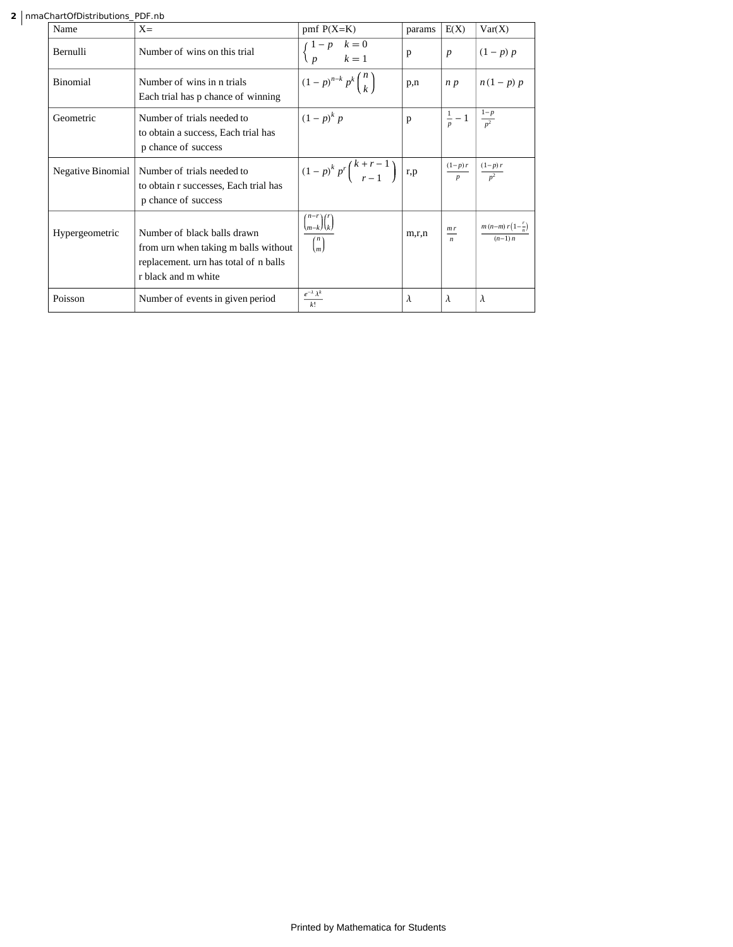**2** *nmaChartOfDistributions\_PDF.nb*

| Name              | $X =$                                                                                                                               | pmf $P(X=K)$                                     | params | E(X)                        | Var(X)                                |
|-------------------|-------------------------------------------------------------------------------------------------------------------------------------|--------------------------------------------------|--------|-----------------------------|---------------------------------------|
| Bernulli          | Number of wins on this trial                                                                                                        | $k = 0$<br>$k = 1$<br>$\overline{p}$             | p      | $\boldsymbol{p}$            | $(1-p)p$                              |
| Binomial          | Number of wins in n trials<br>Each trial has p chance of winning                                                                    | $(1-p)^{n-k} p^k \binom{n}{k}$                   | p,n    | n p                         | $n(1-p)p$                             |
| Geometric         | Number of trials needed to<br>to obtain a success, Each trial has<br>p chance of success                                            | $(1-p)^k p$                                      | p      | $\frac{1}{p} - 1$           | $\frac{1-p}{p^2}$                     |
| Negative Binomial | Number of trials needed to<br>to obtain r successes, Each trial has<br>p chance of success                                          | $(1-p)^k p^r \binom{k+r-1}{r-1}$   r,p           |        | $(1-p)r$                    | $(1-p)r$                              |
| Hypergeometric    | Number of black balls drawn<br>from urn when taking m balls without<br>replacement. urn has total of n balls<br>r black and m white | $\binom{n-r}{m-k}\binom{r}{k}$<br>$\binom{n}{m}$ | m.r.n  | mr<br>-<br>$\boldsymbol{n}$ | $m(n-m) r(1-\frac{r}{n})$<br>$(n-1)n$ |
| Poisson           | Number of events in given period                                                                                                    | $e^{-\lambda} \lambda^k$<br>k!                   | λ      | $\lambda$                   | λ                                     |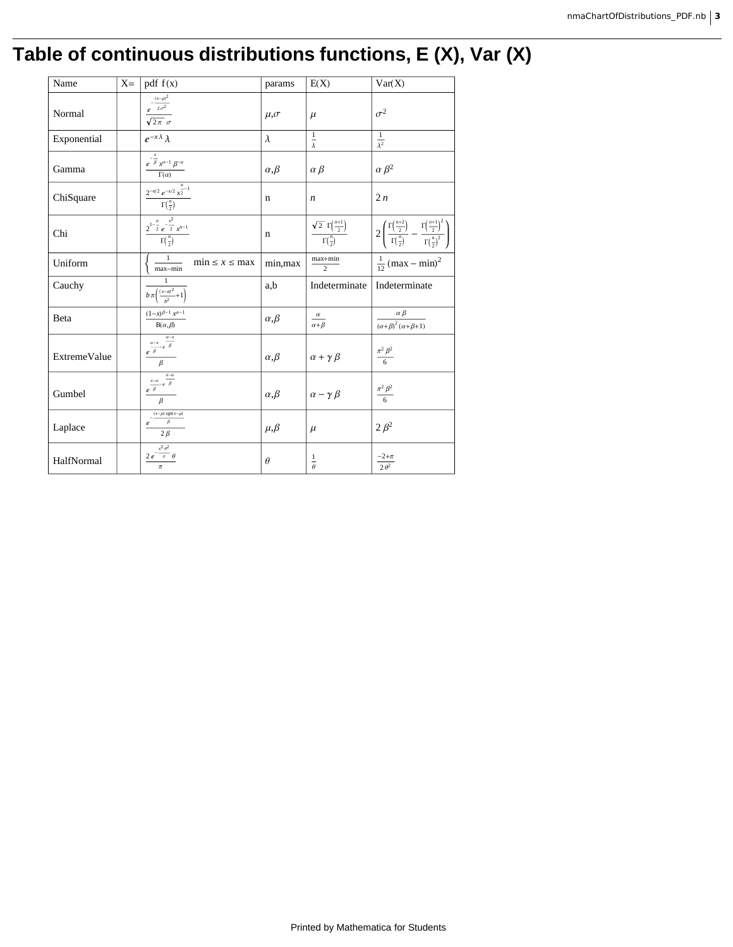# **Table of continuous distributions functions, E (X), Var (X)**

| Name                | $X =$ | pdf $f(x)$                                                                   | params           | E(X)                                                                    | Var(X)                                                                                                                                                              |  |
|---------------------|-------|------------------------------------------------------------------------------|------------------|-------------------------------------------------------------------------|---------------------------------------------------------------------------------------------------------------------------------------------------------------------|--|
| Normal              |       | $e^{-\frac{(x-\mu)^2}{2\sigma^2}}$<br>$\sqrt{2\pi} \sigma$                   | $\mu,\sigma$     | $\mu$                                                                   | $\sigma^2$                                                                                                                                                          |  |
| Exponential         |       | $e^{-x\lambda}$                                                              | $\lambda$        | $\frac{1}{\lambda}$                                                     | $\frac{1}{\lambda^2}$                                                                                                                                               |  |
| Gamma               |       | $e^{-\frac{x}{\beta}}\,x^{\alpha-1}\,\beta^{-\alpha}$<br>$\Gamma(\alpha)$    | $\alpha, \beta$  | $\alpha \beta$                                                          | $\alpha \beta^2$                                                                                                                                                    |  |
| ChiSquare           |       | $\frac{2^{-n/2} e^{-x/2} x^{\frac{n}{2}-1}}{\Gamma(\frac{n}{2})}$            | $\mathbf n$      | $\,$                                                                    | 2n                                                                                                                                                                  |  |
| Chi                 |       | $2^{1-\tfrac{n}{2}}\,e^{-\tfrac{x^2}{2}}\,x^{n-1}$<br>$\Gamma(\frac{n}{2})$  | $\mathbf n$      | $\sqrt{2} \Gamma \left( \frac{n+1}{2} \right)$<br>$\Gamma(\frac{n}{2})$ | $2\left(\frac{\Gamma\left(\frac{n+2}{2}\right)}{\Gamma\left(\frac{n}{2}\right)}-\frac{\Gamma\left(\frac{n+1}{2}\right)^2}{\Gamma\left(\frac{n}{2}\right)^2}\right)$ |  |
| Uniform             |       | $\frac{1}{\text{max-min}}$<br>$\min \leq x \leq \max$                        | min, max         | $\max{+}\min$<br>$\overline{2}$                                         | $\frac{1}{12}$ (max – min) <sup>2</sup>                                                                                                                             |  |
| Cauchy              |       | $b \pi \left( \frac{(x-a)^2}{h^2} + 1 \right)$                               | a,b              | Indeterminate                                                           | Indeterminate                                                                                                                                                       |  |
| Beta                |       | $(1-x)^{\beta-1} x^{\alpha-1}$<br>$B(\alpha,\beta)$                          | $\alpha,\!\beta$ | $\frac{\alpha}{\alpha+\beta}$                                           | $\alpha \beta$<br>$(\alpha+\beta)^2(\alpha+\beta+1)$                                                                                                                |  |
| <b>ExtremeValue</b> |       | $e^{\frac{\alpha-x}{\beta}-e^{\overline{\beta}}}$<br>$\overline{\beta}$      | $\alpha, \beta$  | $\alpha+\gamma\beta$                                                    | $\frac{\pi^2 \beta^2}{6}$                                                                                                                                           |  |
| Gumbel              |       | $\frac{x-\alpha}{e^{-\beta}}-e^{-\frac{x-\alpha}{\beta}}$<br>$\beta$         | $\alpha, \beta$  | $\alpha - \gamma \beta$                                                 | $\frac{\pi^2 \beta^2}{6}$                                                                                                                                           |  |
| Laplace             |       | $(x-\mu)$ sgn $(x-\mu)$<br>$\overline{\phantom{a}}$<br>$\pmb{e}$<br>$2\beta$ | $\mu$ , $\beta$  | $\mu$                                                                   | $2\beta^2$                                                                                                                                                          |  |
| HalfNormal          |       | $x^2 \theta^2$<br>$2e^{-\frac{\pi}{\pi}}\theta$<br>$\pi$                     | $\theta$         | $\frac{1}{\theta}$                                                      | $\frac{-2+\pi}{2\theta^2}$                                                                                                                                          |  |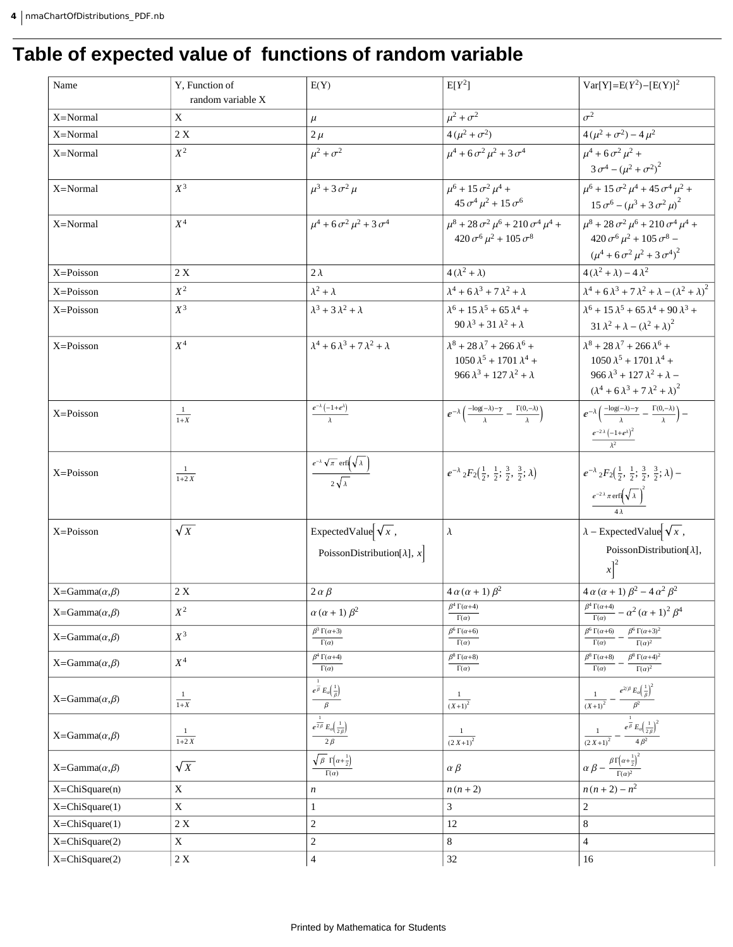## **Table of expected value of functions of random variable**

| Name                       | Y, Function of<br>random variable X | E(Y)                                                                                            | $E[Y^2]$                                                                                                                             | $Var[Y] = E(Y^2) - [E(Y)]^2$                                                                                                                                                                  |
|----------------------------|-------------------------------------|-------------------------------------------------------------------------------------------------|--------------------------------------------------------------------------------------------------------------------------------------|-----------------------------------------------------------------------------------------------------------------------------------------------------------------------------------------------|
| X=Normal                   | $\mathbf X$                         | $\mu$                                                                                           | $\mu^2 + \sigma^2$                                                                                                                   | $\sigma^2$                                                                                                                                                                                    |
| X=Normal                   | 2 X                                 | $2 \mu$                                                                                         | $4(\mu^2 + \sigma^2)$                                                                                                                | $4(\mu^2 + \sigma^2) - 4\mu^2$                                                                                                                                                                |
| X=Normal                   | $X^2$                               | $\mu^2 + \sigma^2$                                                                              | $\mu^4$ + 6 $\sigma^2$ $\mu^2$ + 3 $\sigma^4$                                                                                        | $\mu^4$ + 6 $\sigma^2$ $\mu^2$ +<br>$3 \sigma^4 - (\mu^2 + \sigma^2)^2$                                                                                                                       |
| X=Normal                   | $X^3$                               | $\mu^3 + 3 \sigma^2 \mu$                                                                        | $\mu^6$ + 15 $\sigma^2$ $\mu^4$ +<br>$45 \sigma^4 \mu^2 + 15 \sigma^6$                                                               | $\mu^6$ + 15 $\sigma^2$ $\mu^4$ + 45 $\sigma^4$ $\mu^2$ +<br>$15\,\sigma^6 - (\mu^3 + 3\,\sigma^2\,\mu)^2$                                                                                    |
| X=Normal                   | $\mathcal{X}^4$                     | $\mu^4$ + 6 $\sigma^2$ $\mu^2$ + 3 $\sigma^4$                                                   | $\mu^8$ + 28 $\sigma^2$ $\mu^6$ + 210 $\sigma^4$ $\mu^4$ +<br>$420 \sigma^6 \mu^2 + 105 \sigma^8$                                    | $\mu^8$ + 28 $\sigma^2$ $\mu^6$ + 210 $\sigma^4$ $\mu^4$ +<br>$420 \sigma^6 \mu^2 + 105 \sigma^8$ -<br>$(\mu^4 + 6\sigma^2 \mu^2 + 3\sigma^4)^2$                                              |
| X=Poisson                  | 2 X                                 | $2\lambda$                                                                                      | $4(\lambda^2 + \lambda)$                                                                                                             | $4(\lambda^2 + \lambda) - 4\lambda^2$                                                                                                                                                         |
| $X = Poisson$              | $X^2$                               | $\lambda^2+\lambda$                                                                             | $\lambda^4$ + 6 $\lambda^3$ + 7 $\lambda^2$ + $\lambda$                                                                              | $\lambda^4 + 6\lambda^3 + 7\lambda^2 + \lambda - (\lambda^2 + \lambda)^2$                                                                                                                     |
| X=Poisson                  | $X^3$                               | $\lambda^3 + 3\lambda^2 + \lambda$                                                              | $\lambda^6$ + 15 $\lambda^5$ + 65 $\lambda^4$ +<br>$90 \lambda^3 + 31 \lambda^2 + \lambda$                                           | $\lambda^6$ + 15 $\lambda^5$ + 65 $\lambda^4$ + 90 $\lambda^3$ +<br>$31 \lambda^2 + \lambda - (\lambda^2 + \lambda)^2$                                                                        |
| X=Poisson                  | $X^4$                               | $\lambda^4$ + 6 $\lambda^3$ + 7 $\lambda^2$ + $\lambda$                                         | $\lambda^8$ + 28 $\lambda^7$ + 266 $\lambda^6$ +<br>$1050 \lambda^5 + 1701 \lambda^4 +$<br>$966 \lambda^3 + 127 \lambda^2 + \lambda$ | $\lambda^8$ + 28 $\lambda^7$ + 266 $\lambda^6$ +<br>$1050 \lambda^5 + 1701 \lambda^4 +$<br>$966 \lambda^3 + 127 \lambda^2 + \lambda -$<br>$(\lambda^4 + 6\lambda^3 + 7\lambda^2 + \lambda)^2$ |
| X=Poisson                  | $\frac{1}{1+X}$                     | $\frac{e^{-\lambda}(-1+e^{\lambda})}{\lambda}$                                                  | $e^{-\lambda}\left(\frac{-\log(-\lambda)-\gamma}{\lambda}-\frac{\Gamma(0,-\lambda)}{\lambda}\right)$                                 | $e^{-\lambda} \left( \frac{-\log(-\lambda) - \gamma}{\lambda} - \frac{\Gamma(0,-\lambda)}{\lambda} \right) -$<br>$\frac{e^{-2\lambda}(-1+e^{\lambda})^2}{\lambda^2}$                          |
| X=Poisson                  | $\frac{1}{1+2 X}$                   | $e^{-\lambda} \sqrt{\pi}$ erfi $\sqrt{\lambda}$<br>$2\sqrt{\lambda}$                            | $e^{-\lambda} 2F_2(\frac{1}{2}, \frac{1}{2}; \frac{3}{2}, \frac{3}{2}; \lambda)$                                                     | $e^{-\lambda} 2F_2(\frac{1}{2}, \frac{1}{2}; \frac{3}{2}, \frac{3}{2}; \lambda)$ –<br>$\frac{e^{-2\lambda}\pi\,\mathrm{erfi}\left(\sqrt{\lambda}\right)^2}{4\,\lambda}$                       |
| $X = Poisson$              | $\sqrt{X}$                          | Expected Value $\sqrt{x}$ ,<br>PoissonDistribution[ $\lambda$ ], $x$                            | $\lambda$                                                                                                                            | $\lambda$ – Expected Value $\sqrt{x}$ ,<br>PoissonDistribution[ $\lambda$ ],<br>$x^2$                                                                                                         |
| $X = Gamma(\alpha, \beta)$ | 2 X                                 | $2 \alpha \beta$                                                                                | $4\alpha(\alpha+1)\beta^2$                                                                                                           | $4\alpha(\alpha + 1)\beta^2 - 4\alpha^2\beta^2$                                                                                                                                               |
| $X = Gamma(\alpha, \beta)$ | $\mathfrak{X}^2$                    | $\alpha(\alpha+1)\beta^2$                                                                       | $\beta^4 \Gamma(\alpha + 4)$<br>$\Gamma(\alpha)$                                                                                     | $\frac{\beta^4\Gamma(\alpha+4)}{\Gamma(\alpha\lambda)}-\alpha^2\left(\alpha+1\right)^2\beta^4$<br>$\Gamma(\alpha)$                                                                            |
| $X = Gamma(\alpha, \beta)$ | $X^3$                               | $β3 Γ(α+3)$<br>$\Gamma(\alpha)$                                                                 | $\beta^6 \Gamma(\alpha + 6)$<br>$\Gamma(\alpha)$                                                                                     | $β6 Γ(α+3)2$<br>$β6 Γ(α+6)$<br>$\Gamma(\alpha)^2$<br>$\Gamma(\alpha)$                                                                                                                         |
| $X = Gamma(\alpha, \beta)$ | $\mathbb{X}^4$                      | $\beta^4\,\Gamma(\alpha{+}4)$<br>$\Gamma(\alpha)$                                               | $β8 Γ(α+8)$<br>$\Gamma(\alpha)$                                                                                                      | $\beta^8 \Gamma(\alpha+4)^2$<br>$β8 Γ(α+8)$<br>$\Gamma(\alpha)$<br>$\Gamma(\alpha)^2$                                                                                                         |
| $X = Gamma(\alpha, \beta)$ | $\frac{1}{1+X}$                     | $e^{\overline{\beta}} E_{\alpha}\left(\frac{1}{\beta}\right)$<br>$\beta$                        | $\mathbf{1}$<br>$\overline{(X+1)^2}$                                                                                                 | $e^{2/\beta} E_{\alpha} \left(\frac{1}{\beta}\right)^2$<br>$\beta^2$<br>$(X+1)^2$                                                                                                             |
| $X = Gamma(\alpha, \beta)$ | $\frac{1}{1+2 X}$                   | $e^{\, \overline{2\, \beta}} \; E_{\alpha}\Big(\frac{1}{2\, \beta}\Big)$<br>$\overline{2\beta}$ | $\mathbf{1}$<br>$\overline{(2X+1)^2}$                                                                                                | $e^{\frac{1}{\beta}} E_{\alpha} \left( \frac{1}{2\beta} \right)^2$<br>$\mathbf{1}$<br>$4\beta^2$<br>$(2 X+1)^2$                                                                               |
| $X = Gamma(\alpha, \beta)$ | $\sqrt{X}$                          | $\sqrt{\beta}\ \Gamma\left(\alpha+\frac{1}{2}\right)$<br>$\Gamma(\alpha)$                       | $\alpha \beta$                                                                                                                       | $\alpha \beta - \frac{\beta \Gamma \left(\alpha + \frac{1}{2}\right)^2}{2}$<br>$\Gamma(\alpha)^2$                                                                                             |
| $X = ChiSquare(n)$         | $\mathbf X$                         | $\boldsymbol{n}$                                                                                | $n(n+2)$                                                                                                                             | $n(n+2) - n^2$                                                                                                                                                                                |
| $X = ChiSquare(1)$         | $\mathbf X$                         | $\mathbf{1}$                                                                                    | 3                                                                                                                                    | $\overline{c}$                                                                                                                                                                                |
| $X = ChiSquare(1)$         | $2\ {\rm X}$                        | $\sqrt{2}$                                                                                      | $12\,$                                                                                                                               | $8\,$                                                                                                                                                                                         |
| $X = ChiSquare(2)$         | $\mathbf X$                         | $\sqrt{2}$                                                                                      | $\,8\,$                                                                                                                              | $\overline{4}$                                                                                                                                                                                |
| $X = ChiSquare(2)$         | $2\ {\rm X}$                        | $\overline{4}$                                                                                  | 32                                                                                                                                   | $16\,$                                                                                                                                                                                        |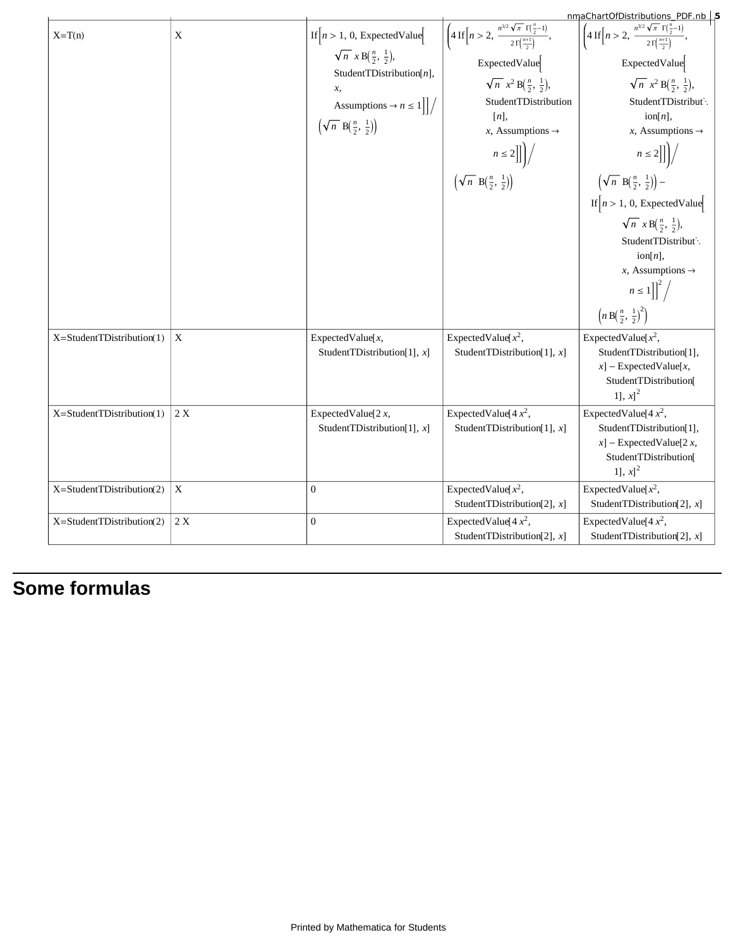|                                   |                |                                                                                                                                                                                                                                                          |                                                                                                                                                                                                                                                                                                                                               | nmaChartOfDistributions PDF.nb 5                                                                                                                                                                                                                                                                                                                                                                                                                                                                                                                                                                                                                 |
|-----------------------------------|----------------|----------------------------------------------------------------------------------------------------------------------------------------------------------------------------------------------------------------------------------------------------------|-----------------------------------------------------------------------------------------------------------------------------------------------------------------------------------------------------------------------------------------------------------------------------------------------------------------------------------------------|--------------------------------------------------------------------------------------------------------------------------------------------------------------------------------------------------------------------------------------------------------------------------------------------------------------------------------------------------------------------------------------------------------------------------------------------------------------------------------------------------------------------------------------------------------------------------------------------------------------------------------------------------|
| $X=T(n)$                          | $\mathbf X$    | If $ n > 1$ , 0, Expected Value<br>$\sqrt{n}$ x B $\left(\frac{n}{2}, \frac{1}{2}\right)$ ,<br>StudentTDistribution $[n]$ ,<br>x,<br>Assumptions $\rightarrow$ $n \leq 1$ ]<br>$\left(\sqrt{n}\;\mathrm{B}\left(\frac{n}{2},\,\frac{1}{2}\right)\right)$ | $\left(4 \text{ If } n > 2, \frac{n^{3/2} \sqrt{\pi} \Gamma(\frac{n}{2}-1)}{2 \Gamma(\frac{n+1}{2})}, \right)$<br>ExpectedValue<br>$\sqrt{n}$ $x^2 B(\frac{n}{2}, \frac{1}{2}),$<br>StudentTDistribution<br>[n],<br>x, Assumptions $\rightarrow$<br>$n \leq 2$ ]<br>$\left(\sqrt{n}\;\mathrm{B}\left(\frac{n}{2},\,\frac{1}{2}\right)\right)$ | $\left(4 \text{ If } n > 2, \frac{n^{3/2} \sqrt{\pi} \Gamma(\frac{n}{2}-1)}{2 \Gamma(\frac{n+1}{2})}, \right)$<br>ExpectedValue<br>$\sqrt{n}$ $x^2 B(\frac{n}{2}, \frac{1}{2}),$<br>StudentTDistribut <sup>:</sup> .<br>$\text{ion}[n],$<br>x, Assumptions $\rightarrow$<br>$n \leq 2$ ]]<br>$\left(\sqrt{n}\;\mathbf{B}\left(\frac{n}{2},\,\frac{1}{2}\right)\right)-$<br>If $[n > 1, 0,$ Expected Value<br>$\sqrt{n}$ $x B(\frac{n}{2}, \frac{1}{2}),$<br>StudentTDistribut <sup>:</sup> .<br>$\text{ion}[n],$<br>x, Assumptions $\rightarrow$<br>$n \leq 1$    $\left  \frac{1}{2} \right $<br>$\left(n B(\frac{n}{2}, \frac{1}{2})^2\right)$ |
| $X = StudentTDistribution(1)   X$ |                | ExpectedValue[ $x$ ,<br>StudentTDistribution[1], x]                                                                                                                                                                                                      | ExpectedValue[ $x^2$ ,<br>StudentTDistribution[1], $x$ ]                                                                                                                                                                                                                                                                                      | ExpectedValue[ $x^2$ ,<br>StudentTDistribution[1],<br>$x$ ] – ExpectedValue[x,<br>StudentTDistribution[<br>1], $x$ ] <sup>2</sup>                                                                                                                                                                                                                                                                                                                                                                                                                                                                                                                |
| X=StudentTDistribution(1)         | $2~\mathrm{X}$ | ExpectedValue[ $2x$ ,<br>StudentTDistribution[1], $x$ ]                                                                                                                                                                                                  | ExpectedValue[ $4x^2$ ,<br>StudentTDistribution[1], $x$ ]                                                                                                                                                                                                                                                                                     | ExpectedValue[4 $x^2$ ,<br>StudentTDistribution[1],<br>$x$ ] – Expected Value[2 $x$ ,<br>StudentTDistribution[<br>1], $x$ ] <sup>2</sup>                                                                                                                                                                                                                                                                                                                                                                                                                                                                                                         |
| X=StudentTDistribution(2)         | $\mathbf X$    | $\mathbf{0}$                                                                                                                                                                                                                                             | ExpectedValue[ $x^2$ ,<br>StudentTDistribution[2], x]                                                                                                                                                                                                                                                                                         | ExpectedValue[ $x^2$ ,<br>StudentTDistribution[2], x]                                                                                                                                                                                                                                                                                                                                                                                                                                                                                                                                                                                            |
| X=StudentTDistribution(2)         | 2 X            | $\mathbf{0}$                                                                                                                                                                                                                                             | ExpectedValue[ $4x^2$ ,<br>StudentTDistribution[2], $x$ ]                                                                                                                                                                                                                                                                                     | ExpectedValue[ $4x^2$ ,<br>StudentTDistribution[2], $x$ ]                                                                                                                                                                                                                                                                                                                                                                                                                                                                                                                                                                                        |
|                                   |                |                                                                                                                                                                                                                                                          |                                                                                                                                                                                                                                                                                                                                               |                                                                                                                                                                                                                                                                                                                                                                                                                                                                                                                                                                                                                                                  |

### **Some formulas**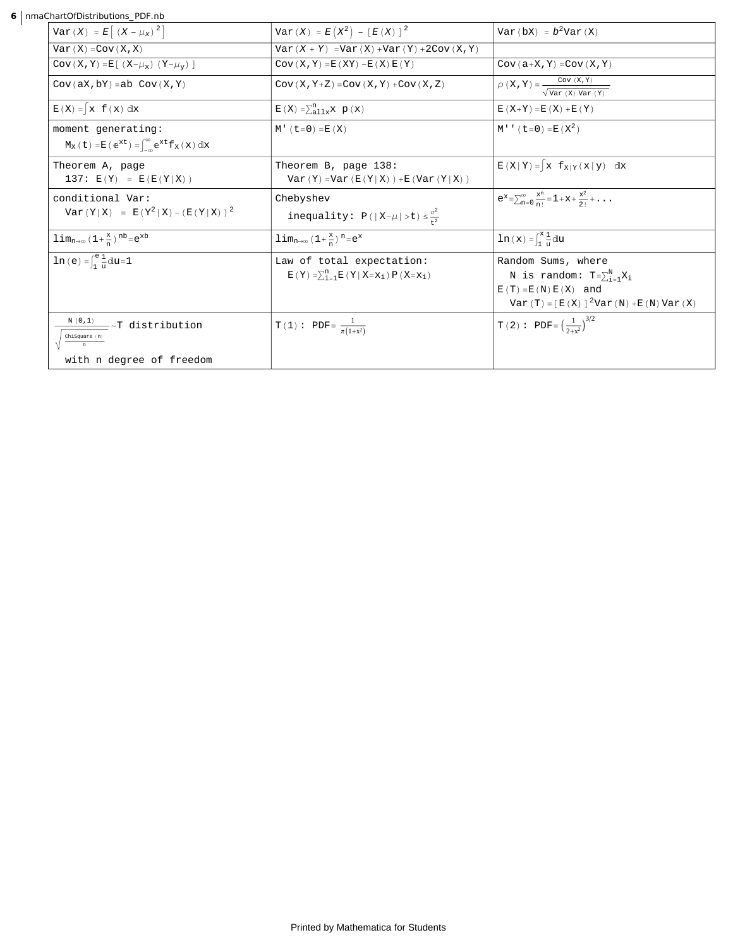6 | nmaChartOfDistributions\_PDF.nb

| ки сотръза прасють_т рт . нь                                                          |                                                                                |                                                                                                                                                                         |
|---------------------------------------------------------------------------------------|--------------------------------------------------------------------------------|-------------------------------------------------------------------------------------------------------------------------------------------------------------------------|
| Var $(X) = E[(X - \mu_X)^2]$                                                          | Var $(X) = E(X^2) - [E(X)]^2$                                                  | $Var(bX) = b^2Var(X)$                                                                                                                                                   |
| $Var(X) = Cov(X, X)$                                                                  | $Var(X + Y) = Var(X) + Var(Y) + 2Cov(X, Y)$                                    |                                                                                                                                                                         |
| Cov $(X, Y) = E[(X - \mu_X) (Y - \mu_Y)]$                                             | $Cov(X, Y) = E(XY) - E(X) E(Y)$                                                | $Cov(a+X, Y) = Cov(X, Y)$                                                                                                                                               |
| $Cov(aX, bY) = ab Cov(X, Y)$                                                          | $Cov(X, Y+Z) = Cov(X, Y) + Cov(X, Z)$                                          | $\rho\left(\mathbf{X},\mathbf{Y}\right)=\frac{\text{Cov}\left(\mathbf{X},\mathbf{Y}\right)}{\sqrt{\text{Var}\left(\mathbf{X}\right)\text{Var}\left(\mathbf{Y}\right)}}$ |
| $E(X) = \int x f(x) dx$                                                               | $E(X) = \sum_{a=1}^{n} X p(x)$                                                 | $E(X+Y) = E(X) + E(Y)$                                                                                                                                                  |
| moment generating:<br>$M_X(t) = E(e^{xt}) = \int_{-\infty}^{\infty} e^{xt} f_X(x) dx$ | $M'$ (t=0) = E(X)                                                              | $M'$ ' (t=0) = E(X <sup>2</sup> )                                                                                                                                       |
| Theorem A, page<br>137: $E(Y) = E(E(Y X))$                                            | Theorem B, page 138:<br>$Var(Y) = Var(E(Y X)) + E(Var(Y X))$                   | $E(X Y) = \begin{bmatrix} x & f_{X Y}(x Y) & dx \end{bmatrix}$                                                                                                          |
| conditional Var:<br>Var $(Y X) = E(Y^2 X) - (E(Y X))^2$                               | Chebyshev<br>inequality: $P( X-\mu >t) \leq \frac{\sigma^2}{t^2}$              | $e^{x} = \sum_{n=0}^{\infty} \frac{x^{n}}{n!} = 1 + x + \frac{x^{2}}{2!} + \dots$                                                                                       |
| $\lim_{n\to\infty} (1+\frac{x}{n})^{nb} = e^{xb}$                                     | $\lim_{n\to\infty} (1+\frac{x}{n})^n=e^x$                                      | $\ln(x) = \int_1^x \frac{1}{x} dx$                                                                                                                                      |
| 1n (e) = $\int_{1}^{e} \frac{1}{u} du = 1$                                            | Law of total expectation:<br>$E(Y) = \sum_{i=1}^{n} E(Y   X = x_i) P(X = x_i)$ | Random Sums, where<br>N is random: $T = \sum_{i=1}^{N} X_i$<br>$E(T) = E(N) E(X) \text{ and}$<br>$Var(T) = [E(X)]^{2}Var(N) + E(N)Var(X)$                               |
| $\frac{\mathbb{N}(0,1)}{2}$ ~T distribution<br>$\frac{\texttt{Chisquare}\ (n)}{n}$    | $T(1): PDF = \frac{1}{\pi(1+x^2)}$                                             | $T(2)$ : PDF= $\left(\frac{1}{2\mu^2}\right)^{3/2}$                                                                                                                     |
| with n degree of freedom                                                              |                                                                                |                                                                                                                                                                         |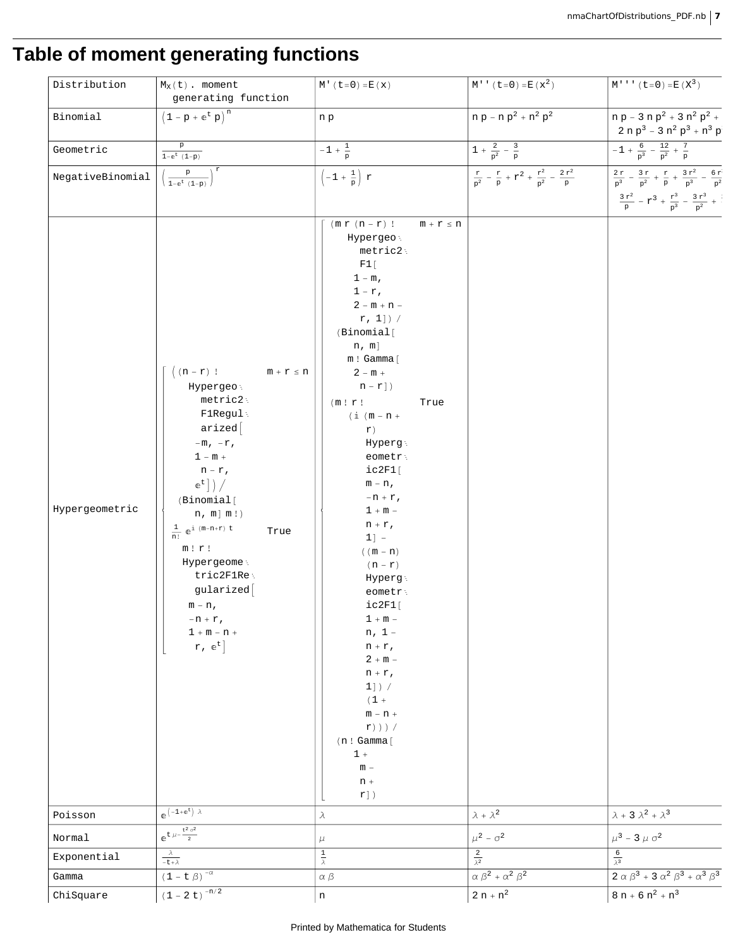# **Table of moment generating functions**

| Distribution     | $M_X(t)$ . moment<br>generating function                                                                                                                                                                                                                                                                                                                                            | $M'$ (t=0) = E(x)                                                                                                                                                                                                                                                                                                                                                                                                                                                                                                                                                                                                                       | $M'$ ' (t=0) = E( $x^2$ )                                              | $M''''$ (t=0)=E( $X^3$ )                                                                                                       |
|------------------|-------------------------------------------------------------------------------------------------------------------------------------------------------------------------------------------------------------------------------------------------------------------------------------------------------------------------------------------------------------------------------------|-----------------------------------------------------------------------------------------------------------------------------------------------------------------------------------------------------------------------------------------------------------------------------------------------------------------------------------------------------------------------------------------------------------------------------------------------------------------------------------------------------------------------------------------------------------------------------------------------------------------------------------------|------------------------------------------------------------------------|--------------------------------------------------------------------------------------------------------------------------------|
| Binomial         | $(1 - p + e^t p)^n$                                                                                                                                                                                                                                                                                                                                                                 | n p                                                                                                                                                                                                                                                                                                                                                                                                                                                                                                                                                                                                                                     | $n p - n p^2 + n^2 p^2$                                                | $np - 3 np^2 + 3 n^2 p^2 +$                                                                                                    |
| Geometric        | $\mathtt{p}$                                                                                                                                                                                                                                                                                                                                                                        | $-1 + \frac{1}{p}$                                                                                                                                                                                                                                                                                                                                                                                                                                                                                                                                                                                                                      | $1 + \frac{2}{p^2} - \frac{3}{p}$                                      | $2$ n p $^3$ – 3 n $^2$ p $^3$ + n $^3$ p<br>$-1 + \frac{6}{p^3} - \frac{12}{p^2} + \frac{7}{p}$                               |
| NegativeBinomial | $1-e^t (1-p)$<br>$p \sqrt{r}$                                                                                                                                                                                                                                                                                                                                                       | $\left(-1+\frac{1}{p}\right)$ r                                                                                                                                                                                                                                                                                                                                                                                                                                                                                                                                                                                                         | $\frac{r}{p^2} - \frac{r}{p} + r^2 + \frac{r^2}{p^2} - \frac{2r^2}{p}$ | $\frac{2 \text{ r}}{p^3} - \frac{3 \text{ r}}{p^2} + \frac{\text{r}}{p} + \frac{3 \text{ r}^2}{p^3} - \frac{6 \text{ r}}{p^2}$ |
|                  | $\sqrt{1-e^t(1-p)}$                                                                                                                                                                                                                                                                                                                                                                 | $(m r (n - r) !$<br>$\mathfrak{m}+\mathtt{r}\leq \mathtt{n}$                                                                                                                                                                                                                                                                                                                                                                                                                                                                                                                                                                            |                                                                        | $rac{3x^2}{p} - x^3 + \frac{x^3}{p^3} - \frac{3x^3}{p^2} +$                                                                    |
| Hypergeometric   | $(n-r)$ !<br>$\mathfrak{m}+\mathtt{r}\leq \mathtt{n}$<br>Hypergeo:<br>metric2<br>FlRegul<br>arized<br>$-m, -r,$<br>$1 - m +$<br>$n-r$ ,<br>$e^t$ ) /<br>(Binomial[<br>$n, m \, m!)$<br>$\frac{1}{n!}$ $e^{i(m-n+r)}$ t<br>True<br>m: r:<br>Hypergeome:<br>tric2F1Re.<br>gularized<br>$\mathfrak{m}$ – $\mathfrak{n}$ ,<br>$-\mathbf{n}+\mathbf{r}$ ,<br>$1 + m - n +$<br>$r, e^{t}$ | Hypergeo<br>metric2<br>$F1$ [<br>$1 - m$ ,<br>$1-r$ ,<br>$2 - m + n -$<br>$r, 1]$ ) /<br>(Binomial[<br>n, m]<br>m! Gamma [<br>$2 - m +$<br>$n-r$ )<br>(m: r:<br>True<br>$(i (m - n +$<br>r)<br>Hyperg:<br>eometra<br>$ic2F1$ [<br>$\mathfrak{m}$ – $\mathfrak{n}$ ,<br>$-n + r$ ,<br>$1 + m -$<br>$n + r$ ,<br>$1$ ] -<br>$((m - n))$<br>$(n - r)$<br>Hyperg<br>eometr:<br>$ic2F1$ [<br>$1 + m -$<br>$n, 1 -$<br>$\mathtt{n}$ + $\mathtt{r}$ ,<br>$2 + m -$<br>$\mathtt{n}$ + $\mathtt{r}$ ,<br>$1$ ] $)$ /<br>$(1 +$<br>$\mathfrak{m}$ – $\mathfrak{n}$ +<br>$r)$ ) ) /<br>(n! Gamma [<br>$1 +$<br>$\mathfrak{m}$ –<br>$n +$<br>$r]$ ) |                                                                        |                                                                                                                                |
| Poisson          | $e^{-1+e^t}$ ) $\lambda$                                                                                                                                                                                                                                                                                                                                                            | $\lambda$                                                                                                                                                                                                                                                                                                                                                                                                                                                                                                                                                                                                                               | $\lambda + \lambda^2$                                                  | $\lambda$ + 3 $\lambda^2$ + $\lambda^3$                                                                                        |
| Normal           | $e^{t \mu - \frac{t^2 \sigma^2}{2}}$                                                                                                                                                                                                                                                                                                                                                | $\mu$                                                                                                                                                                                                                                                                                                                                                                                                                                                                                                                                                                                                                                   | $\mu^2 - \sigma^2$                                                     | $\mu^3$ – 3 $\mu$ $\sigma^2$                                                                                                   |
| Exponential      | $\frac{\lambda}{-t+\lambda}$                                                                                                                                                                                                                                                                                                                                                        | $\frac{1}{\lambda}$                                                                                                                                                                                                                                                                                                                                                                                                                                                                                                                                                                                                                     | $\frac{2}{\lambda^2}$                                                  | $rac{6}{\lambda^3}$                                                                                                            |
| Gamma            | $(1 - t \beta)^{-\alpha}$                                                                                                                                                                                                                                                                                                                                                           | $\alpha \beta$                                                                                                                                                                                                                                                                                                                                                                                                                                                                                                                                                                                                                          | $\alpha\,\beta^2$ + $\alpha^2\,\beta^2$                                | $2\;\alpha\;\beta^3 + 3\;\alpha^2\;\beta^3 + \alpha^3\;\beta^3$                                                                |
| ChiSquare        | $(1 - 2 t)^{-n/2}$                                                                                                                                                                                                                                                                                                                                                                  |                                                                                                                                                                                                                                                                                                                                                                                                                                                                                                                                                                                                                                         | $2\ n + n^2$                                                           | $8 n + 6 n^2 + n^3$                                                                                                            |
|                  |                                                                                                                                                                                                                                                                                                                                                                                     | $\mathbf n$                                                                                                                                                                                                                                                                                                                                                                                                                                                                                                                                                                                                                             |                                                                        |                                                                                                                                |